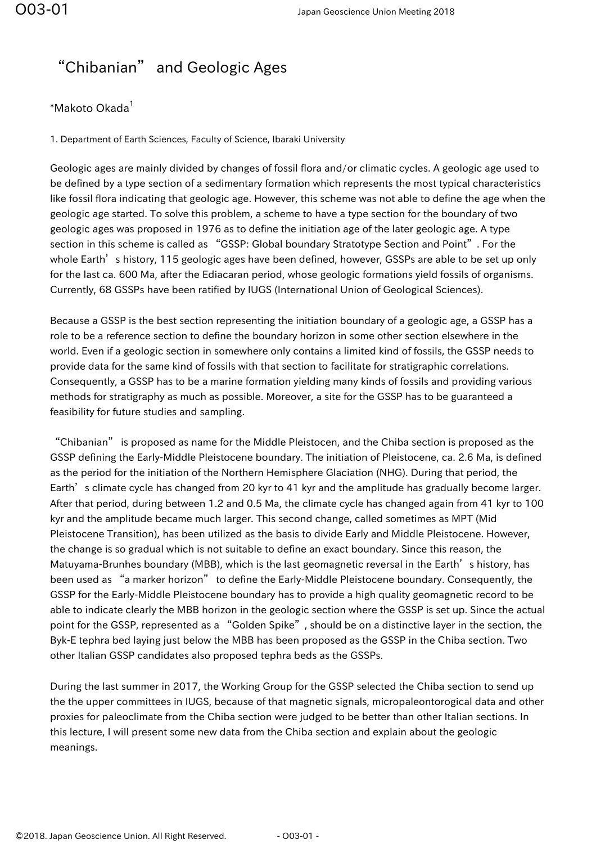## "Chibanian" and Geologic Ages

## \*Makoto Okada<sup>1</sup>

1. Department of Earth Sciences, Faculty of Science, Ibaraki University

Geologic ages are mainly divided by changes of fossil flora and/or climatic cycles. A geologic age used to be defined by a type section of a sedimentary formation which represents the most typical characteristics like fossil flora indicating that geologic age. However, this scheme was not able to define the age when the geologic age started. To solve this problem, a scheme to have a type section for the boundary of two geologic ages was proposed in 1976 as to define the initiation age of the later geologic age. A type section in this scheme is called as "GSSP: Global boundary Stratotype Section and Point". For the whole Earth's history, 115 geologic ages have been defined, however, GSSPs are able to be set up only for the last ca. 600 Ma, after the Ediacaran period, whose geologic formations yield fossils of organisms. Currently, 68 GSSPs have been ratified by IUGS (International Union of Geological Sciences).

Because a GSSP is the best section representing the initiation boundary of a geologic age, a GSSP has a role to be a reference section to define the boundary horizon in some other section elsewhere in the world. Even if a geologic section in somewhere only contains a limited kind of fossils, the GSSP needs to provide data for the same kind of fossils with that section to facilitate for stratigraphic correlations. Consequently, a GSSP has to be a marine formation yielding many kinds of fossils and providing various methods for stratigraphy as much as possible. Moreover, a site for the GSSP has to be guaranteed a feasibility for future studies and sampling.

"Chibanian" is proposed as name for the Middle Pleistocen, and the Chiba section is proposed as the GSSP defining the Early-Middle Pleistocene boundary. The initiation of Pleistocene, ca. 2.6 Ma, is defined as the period for the initiation of the Northern Hemisphere Glaciation (NHG). During that period, the Earth's climate cycle has changed from 20 kyr to 41 kyr and the amplitude has gradually become larger. After that period, during between 1.2 and 0.5 Ma, the climate cycle has changed again from 41 kyr to 100 kyr and the amplitude became much larger. This second change, called sometimes as MPT (Mid Pleistocene Transition), has been utilized as the basis to divide Early and Middle Pleistocene. However, the change is so gradual which is not suitable to define an exact boundary. Since this reason, the Matuyama-Brunhes boundary (MBB), which is the last geomagnetic reversal in the Earth's history, has been used as "a marker horizon" to define the Early-Middle Pleistocene boundary. Consequently, the GSSP for the Early-Middle Pleistocene boundary has to provide a high quality geomagnetic record to be able to indicate clearly the MBB horizon in the geologic section where the GSSP is set up. Since the actual point for the GSSP, represented as a "Golden Spike", should be on a distinctive layer in the section, the Byk-E tephra bed laying just below the MBB has been proposed as the GSSP in the Chiba section. Two other Italian GSSP candidates also proposed tephra beds as the GSSPs.

During the last summer in 2017, the Working Group for the GSSP selected the Chiba section to send up the the upper committees in IUGS, because of that magnetic signals, micropaleontorogical data and other proxies for paleoclimate from the Chiba section were judged to be better than other Italian sections. In this lecture, I will present some new data from the Chiba section and explain about the geologic meanings.